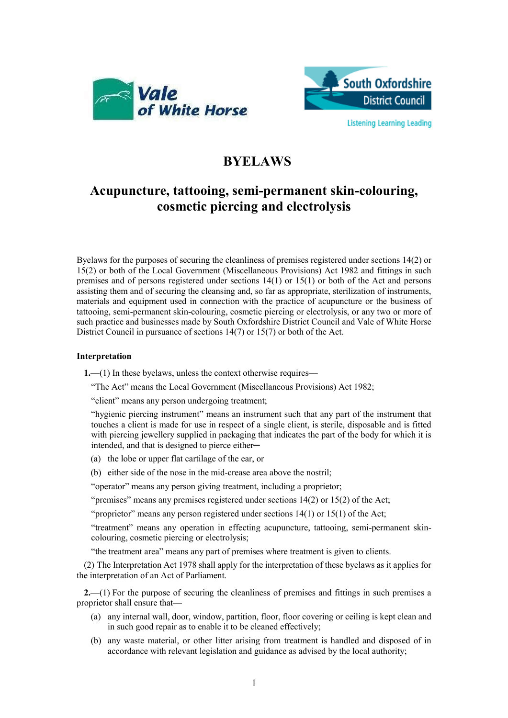



## **BYELAWS**

## **Acupuncture, tattooing, semi-permanent skin-colouring, cosmetic piercing and electrolysis**

Byelaws for the purposes of securing the cleanliness of premises registered under sections 14(2) or 15(2) or both of the Local Government (Miscellaneous Provisions) Act 1982 and fittings in such premises and of persons registered under sections 14(1) or 15(1) or both of the Act and persons assisting them and of securing the cleansing and, so far as appropriate, sterilization of instruments, materials and equipment used in connection with the practice of acupuncture or the business of tattooing, semi-permanent skin-colouring, cosmetic piercing or electrolysis, or any two or more of such practice and businesses made by South Oxfordshire District Council and Vale of White Horse District Council in pursuance of sections 14(7) or 15(7) or both of the Act.

## **Interpretation**

**1.**—(1) In these byelaws, unless the context otherwise requires—

"The Act" means the Local Government (Miscellaneous Provisions) Act 1982;

"client" means any person undergoing treatment;

"hygienic piercing instrument" means an instrument such that any part of the instrument that touches a client is made for use in respect of a single client, is sterile, disposable and is fitted with piercing jewellery supplied in packaging that indicates the part of the body for which it is intended, and that is designed to pierce either

(a) the lobe or upper flat cartilage of the ear, or

(b) either side of the nose in the mid-crease area above the nostril;

"operator" means any person giving treatment, including a proprietor;

"premises" means any premises registered under sections 14(2) or 15(2) of the Act;

"proprietor" means any person registered under sections 14(1) or 15(1) of the Act;

"treatment" means any operation in effecting acupuncture, tattooing, semi-permanent skincolouring, cosmetic piercing or electrolysis;

"the treatment area" means any part of premises where treatment is given to clients.

(2) The Interpretation Act 1978 shall apply for the interpretation of these byelaws as it applies for the interpretation of an Act of Parliament.

**2.**—(1) For the purpose of securing the cleanliness of premises and fittings in such premises a proprietor shall ensure that—

- (a) any internal wall, door, window, partition, floor, floor covering or ceiling is kept clean and in such good repair as to enable it to be cleaned effectively;
- (b) any waste material, or other litter arising from treatment is handled and disposed of in accordance with relevant legislation and guidance as advised by the local authority;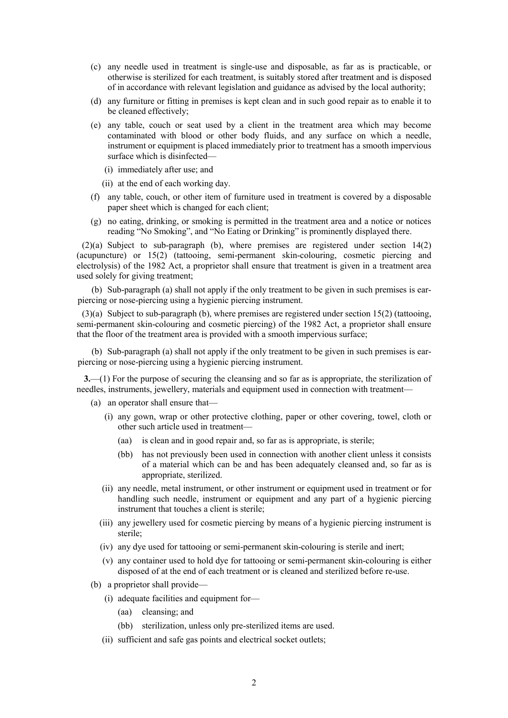- (c) any needle used in treatment is single-use and disposable, as far as is practicable, or otherwise is sterilized for each treatment, is suitably stored after treatment and is disposed of in accordance with relevant legislation and guidance as advised by the local authority;
- (d) any furniture or fitting in premises is kept clean and in such good repair as to enable it to be cleaned effectively;
- (e) any table, couch or seat used by a client in the treatment area which may become contaminated with blood or other body fluids, and any surface on which a needle, instrument or equipment is placed immediately prior to treatment has a smooth impervious surface which is disinfected—
	- (i) immediately after use; and
	- (ii) at the end of each working day.
- (f) any table, couch, or other item of furniture used in treatment is covered by a disposable paper sheet which is changed for each client;
- (g) no eating, drinking, or smoking is permitted in the treatment area and a notice or notices reading "No Smoking", and "No Eating or Drinking" is prominently displayed there.

(2)(a) Subject to sub-paragraph (b), where premises are registered under section 14(2) (acupuncture) or 15(2) (tattooing, semi-permanent skin-colouring, cosmetic piercing and electrolysis) of the 1982 Act, a proprietor shall ensure that treatment is given in a treatment area used solely for giving treatment;

(b) Sub-paragraph (a) shall not apply if the only treatment to be given in such premises is earpiercing or nose-piercing using a hygienic piercing instrument.

 $(3)(a)$  Subject to sub-paragraph (b), where premises are registered under section 15(2) (tattooing, semi-permanent skin-colouring and cosmetic piercing) of the 1982 Act, a proprietor shall ensure that the floor of the treatment area is provided with a smooth impervious surface;

(b) Sub-paragraph (a) shall not apply if the only treatment to be given in such premises is earpiercing or nose-piercing using a hygienic piercing instrument.

**3.**—(1) For the purpose of securing the cleansing and so far as is appropriate, the sterilization of needles, instruments, jewellery, materials and equipment used in connection with treatment—

- (a) an operator shall ensure that—
	- (i) any gown, wrap or other protective clothing, paper or other covering, towel, cloth or other such article used in treatment—
		- (aa) is clean and in good repair and, so far as is appropriate, is sterile;
		- (bb) has not previously been used in connection with another client unless it consists of a material which can be and has been adequately cleansed and, so far as is appropriate, sterilized.
	- (ii) any needle, metal instrument, or other instrument or equipment used in treatment or for handling such needle, instrument or equipment and any part of a hygienic piercing instrument that touches a client is sterile;
	- (iii) any jewellery used for cosmetic piercing by means of a hygienic piercing instrument is sterile;
	- (iv) any dye used for tattooing or semi-permanent skin-colouring is sterile and inert;
	- (v) any container used to hold dye for tattooing or semi-permanent skin-colouring is either disposed of at the end of each treatment or is cleaned and sterilized before re-use.
- (b) a proprietor shall provide—
	- (i) adequate facilities and equipment for—
		- (aa) cleansing; and
		- (bb) sterilization, unless only pre-sterilized items are used.
	- (ii) sufficient and safe gas points and electrical socket outlets;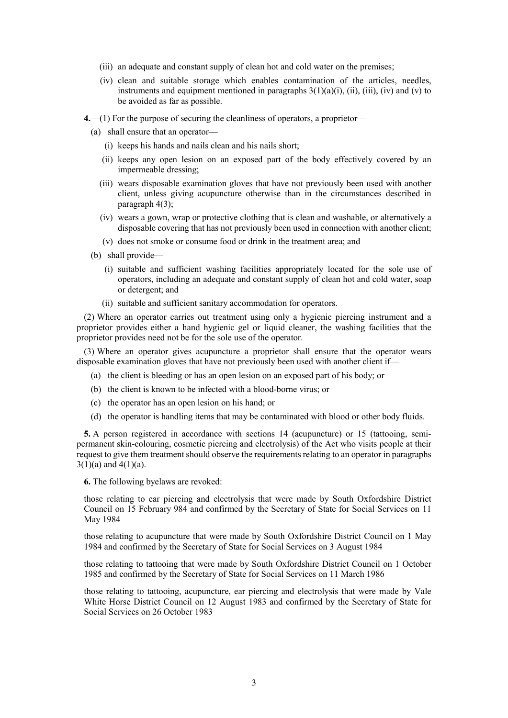- (iii) an adequate and constant supply of clean hot and cold water on the premises;
- (iv) clean and suitable storage which enables contamination of the articles, needles, instruments and equipment mentioned in paragraphs  $3(1)(a)(i)$ , (ii), (iii), (iv) and (v) to be avoided as far as possible.
- **4.**—(1) For the purpose of securing the cleanliness of operators, a proprietor—
	- (a) shall ensure that an operator—
		- (i) keeps his hands and nails clean and his nails short;
		- (ii) keeps any open lesion on an exposed part of the body effectively covered by an impermeable dressing;
		- (iii) wears disposable examination gloves that have not previously been used with another client, unless giving acupuncture otherwise than in the circumstances described in paragraph 4(3);
		- (iv) wears a gown, wrap or protective clothing that is clean and washable, or alternatively a disposable covering that has not previously been used in connection with another client;
		- (v) does not smoke or consume food or drink in the treatment area; and
	- (b) shall provide—
		- (i) suitable and sufficient washing facilities appropriately located for the sole use of operators, including an adequate and constant supply of clean hot and cold water, soap or detergent; and
		- (ii) suitable and sufficient sanitary accommodation for operators.

(2) Where an operator carries out treatment using only a hygienic piercing instrument and a proprietor provides either a hand hygienic gel or liquid cleaner, the washing facilities that the proprietor provides need not be for the sole use of the operator.

(3) Where an operator gives acupuncture a proprietor shall ensure that the operator wears disposable examination gloves that have not previously been used with another client if—

- (a) the client is bleeding or has an open lesion on an exposed part of his body; or
- (b) the client is known to be infected with a blood-borne virus; or
- (c) the operator has an open lesion on his hand; or
- (d) the operator is handling items that may be contaminated with blood or other body fluids.

**5.** A person registered in accordance with sections 14 (acupuncture) or 15 (tattooing, semipermanent skin-colouring, cosmetic piercing and electrolysis) of the Act who visits people at their request to give them treatment should observe the requirements relating to an operator in paragraphs  $3(1)(a)$  and  $4(1)(a)$ .

**6.** The following byelaws are revoked:

those relating to ear piercing and electrolysis that were made by South Oxfordshire District Council on 15 February 984 and confirmed by the Secretary of State for Social Services on 11 May 1984

those relating to acupuncture that were made by South Oxfordshire District Council on 1 May 1984 and confirmed by the Secretary of State for Social Services on 3 August 1984

those relating to tattooing that were made by South Oxfordshire District Council on 1 October 1985 and confirmed by the Secretary of State for Social Services on 11 March 1986

those relating to tattooing, acupuncture, ear piercing and electrolysis that were made by Vale White Horse District Council on 12 August 1983 and confirmed by the Secretary of State for Social Services on 26 October 1983